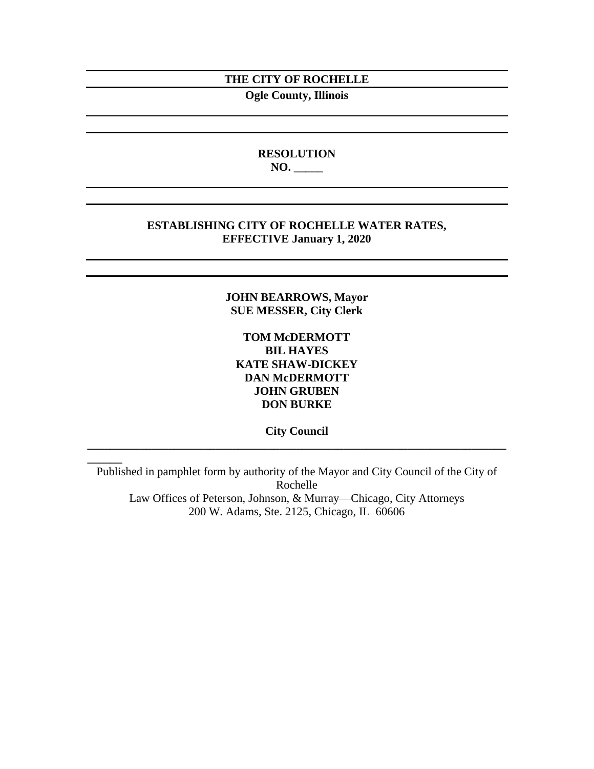### **THE CITY OF ROCHELLE**

**Ogle County, Illinois**

# **RESOLUTION NO. \_\_\_\_\_**

## **ESTABLISHING CITY OF ROCHELLE WATER RATES, EFFECTIVE January 1, 2020**

## **JOHN BEARROWS, Mayor SUE MESSER, City Clerk**

**TOM McDERMOTT BIL HAYES KATE SHAW-DICKEY DAN McDERMOTT JOHN GRUBEN DON BURKE**

**City Council \_\_\_\_\_\_\_\_\_\_\_\_\_\_\_\_\_\_\_\_\_\_\_\_\_\_\_\_\_\_\_\_\_\_\_\_\_\_\_\_\_\_\_\_\_\_\_\_\_\_\_\_\_\_\_\_\_\_\_\_\_\_\_\_\_\_\_\_\_\_\_\_**

**\_\_\_\_\_\_**

Published in pamphlet form by authority of the Mayor and City Council of the City of Rochelle Law Offices of Peterson, Johnson, & Murray—Chicago, City Attorneys 200 W. Adams, Ste. 2125, Chicago, IL 60606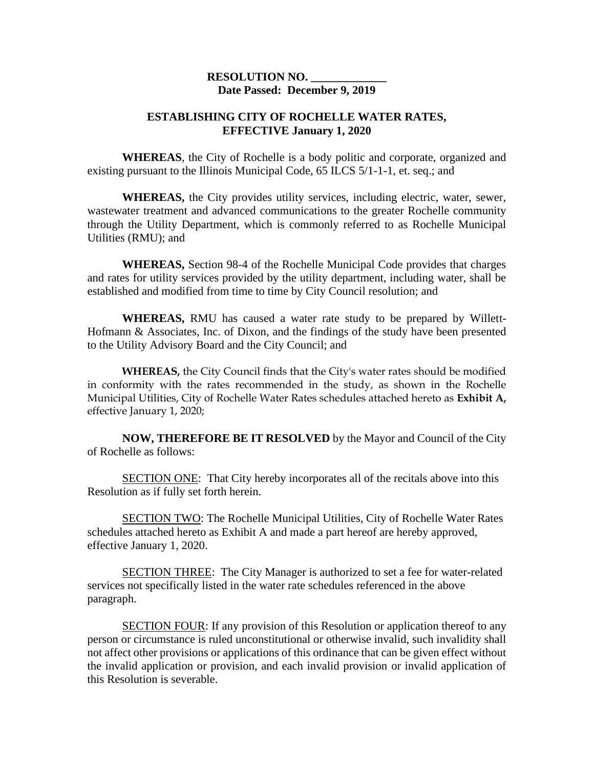## **RESOLUTION NO. \_\_\_\_\_\_\_\_\_\_\_\_\_ Date Passed: December 9, 2019**

## **ESTABLISHING CITY OF ROCHELLE WATER RATES, EFFECTIVE January 1, 2020**

**WHEREAS**, the City of Rochelle is a body politic and corporate, organized and existing pursuant to the Illinois Municipal Code, 65 ILCS 5/1-1-1, et. seq.; and

**WHEREAS,** the City provides utility services, including electric, water, sewer, wastewater treatment and advanced communications to the greater Rochelle community through the Utility Department, which is commonly referred to as Rochelle Municipal Utilities (RMU); and

**WHEREAS,** Section 98-4 of the Rochelle Municipal Code provides that charges and rates for utility services provided by the utility department, including water, shall be established and modified from time to time by City Council resolution; and

**WHEREAS,** RMU has caused a water rate study to be prepared by Willett-Hofmann & Associates, Inc. of Dixon, and the findings of the study have been presented to the Utility Advisory Board and the City Council; and

**WHEREAS,** the City Council finds that the City's water rates should be modified in conformity with the rates recommended in the study, as shown in the Rochelle Municipal Utilities, City of Rochelle Water Rates schedules attached hereto as **Exhibit A,**  effective January 1, 2020;

**NOW, THEREFORE BE IT RESOLVED** by the Mayor and Council of the City of Rochelle as follows:

SECTION ONE: That City hereby incorporates all of the recitals above into this Resolution as if fully set forth herein.

SECTION TWO: The Rochelle Municipal Utilities, City of Rochelle Water Rates schedules attached hereto as Exhibit A and made a part hereof are hereby approved, effective January 1, 2020.

SECTION THREE: The City Manager is authorized to set a fee for water-related services not specifically listed in the water rate schedules referenced in the above paragraph.

SECTION FOUR: If any provision of this Resolution or application thereof to any person or circumstance is ruled unconstitutional or otherwise invalid, such invalidity shall not affect other provisions or applications of this ordinance that can be given effect without the invalid application or provision, and each invalid provision or invalid application of this Resolution is severable.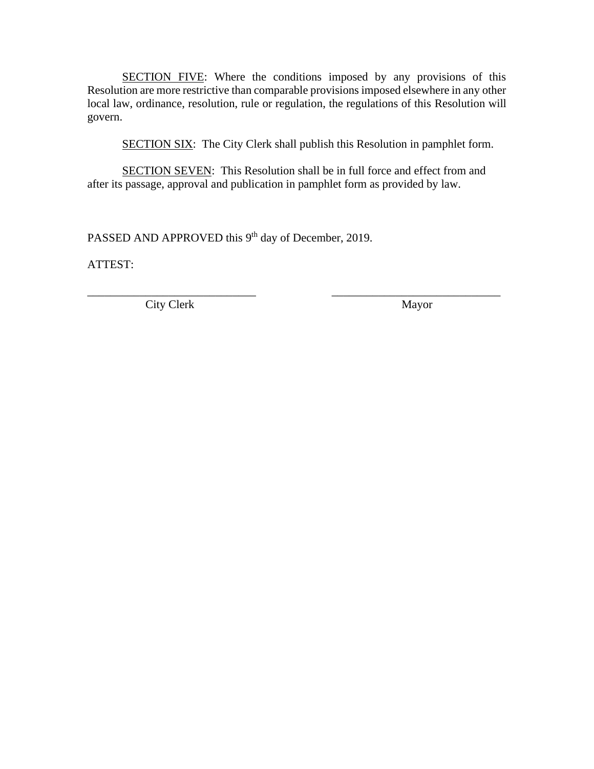SECTION FIVE: Where the conditions imposed by any provisions of this Resolution are more restrictive than comparable provisions imposed elsewhere in any other local law, ordinance, resolution, rule or regulation, the regulations of this Resolution will govern.

SECTION SIX: The City Clerk shall publish this Resolution in pamphlet form.

SECTION SEVEN: This Resolution shall be in full force and effect from and after its passage, approval and publication in pamphlet form as provided by law.

\_\_\_\_\_\_\_\_\_\_\_\_\_\_\_\_\_\_\_\_\_\_\_\_\_\_\_\_\_ \_\_\_\_\_\_\_\_\_\_\_\_\_\_\_\_\_\_\_\_\_\_\_\_\_\_\_\_\_

PASSED AND APPROVED this 9<sup>th</sup> day of December, 2019.

ATTEST:

City Clerk Mayor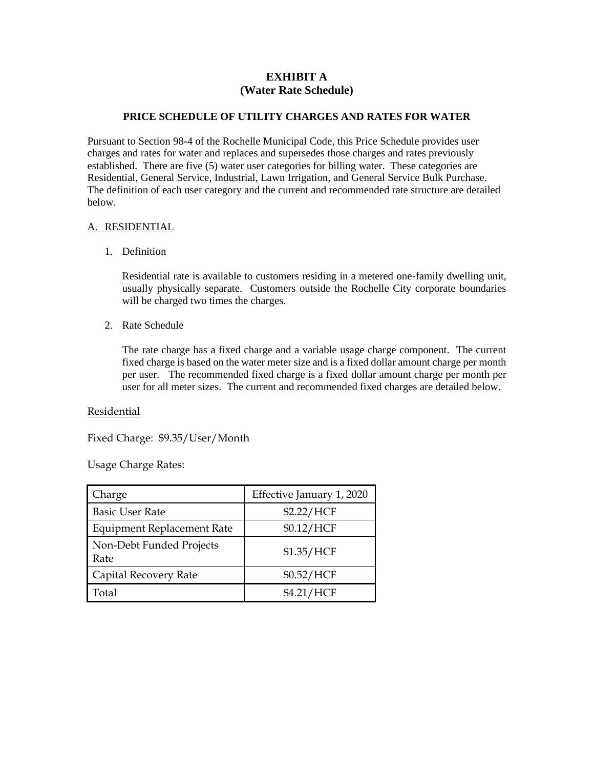# **EXHIBIT A (Water Rate Schedule)**

#### **PRICE SCHEDULE OF UTILITY CHARGES AND RATES FOR WATER**

Pursuant to Section 98-4 of the Rochelle Municipal Code, this Price Schedule provides user charges and rates for water and replaces and supersedes those charges and rates previously established. There are five (5) water user categories for billing water. These categories are Residential, General Service, Industrial, Lawn Irrigation, and General Service Bulk Purchase. The definition of each user category and the current and recommended rate structure are detailed below.

#### A. RESIDENTIAL

1. Definition

Residential rate is available to customers residing in a metered one-family dwelling unit, usually physically separate. Customers outside the Rochelle City corporate boundaries will be charged two times the charges.

2. Rate Schedule

The rate charge has a fixed charge and a variable usage charge component. The current fixed charge is based on the water meter size and is a fixed dollar amount charge per month per user. The recommended fixed charge is a fixed dollar amount charge per month per user for all meter sizes. The current and recommended fixed charges are detailed below.

### Residential

Fixed Charge: \$9.35/User/Month

Usage Charge Rates:

| Charge                            | Effective January 1, 2020 |
|-----------------------------------|---------------------------|
| <b>Basic User Rate</b>            | \$2.22/HCF                |
| <b>Equipment Replacement Rate</b> | \$0.12/HCF                |
| Non-Debt Funded Projects<br>Rate  | \$1.35/HCF                |
| Capital Recovery Rate             | \$0.52/HCF                |
| Total                             | \$4.21/HCF                |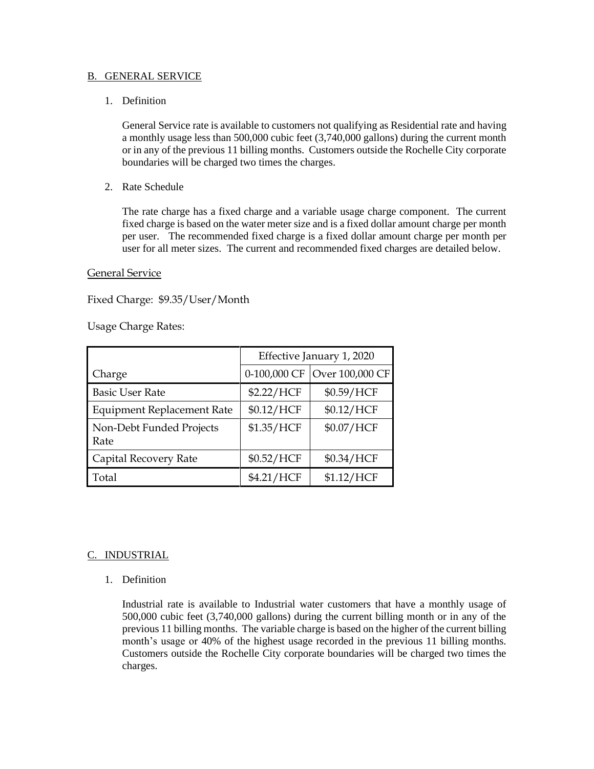### B. GENERAL SERVICE

1. Definition

General Service rate is available to customers not qualifying as Residential rate and having a monthly usage less than 500,000 cubic feet (3,740,000 gallons) during the current month or in any of the previous 11 billing months. Customers outside the Rochelle City corporate boundaries will be charged two times the charges.

2. Rate Schedule

The rate charge has a fixed charge and a variable usage charge component. The current fixed charge is based on the water meter size and is a fixed dollar amount charge per month per user. The recommended fixed charge is a fixed dollar amount charge per month per user for all meter sizes. The current and recommended fixed charges are detailed below.

#### General Service

Fixed Charge: \$9.35/User/Month

Usage Charge Rates:

|                                   |              | Effective January 1, 2020 |
|-----------------------------------|--------------|---------------------------|
| Charge                            | 0-100,000 CF | Over 100,000 CF           |
| <b>Basic User Rate</b>            | \$2.22/HCF   | \$0.59/HCF                |
| <b>Equipment Replacement Rate</b> | \$0.12/HCF   | \$0.12/HCF                |
| Non-Debt Funded Projects<br>Rate  | \$1.35/HCF   | \$0.07/HCF                |
| Capital Recovery Rate             | \$0.52/HCF   | \$0.34/HCF                |
| Total                             | \$4.21/HCF   | \$1.12/HCF                |

### C. INDUSTRIAL

1. Definition

Industrial rate is available to Industrial water customers that have a monthly usage of 500,000 cubic feet (3,740,000 gallons) during the current billing month or in any of the previous 11 billing months. The variable charge is based on the higher of the current billing month's usage or 40% of the highest usage recorded in the previous 11 billing months. Customers outside the Rochelle City corporate boundaries will be charged two times the charges.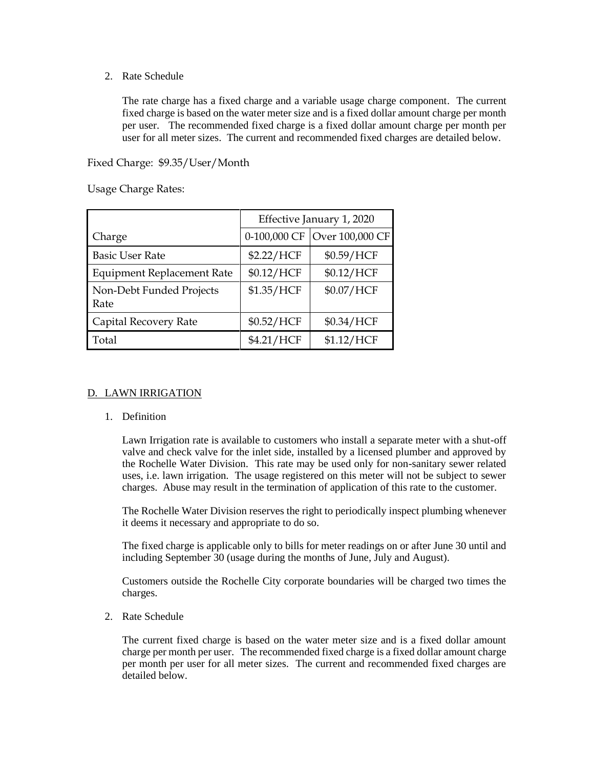2. Rate Schedule

The rate charge has a fixed charge and a variable usage charge component. The current fixed charge is based on the water meter size and is a fixed dollar amount charge per month per user. The recommended fixed charge is a fixed dollar amount charge per month per user for all meter sizes. The current and recommended fixed charges are detailed below.

Fixed Charge: \$9.35/User/Month

Usage Charge Rates:

|                                   |              | Effective January 1, 2020 |
|-----------------------------------|--------------|---------------------------|
| Charge                            | 0-100,000 CF | Over 100,000 CF           |
| <b>Basic User Rate</b>            | \$2.22/HCF   | \$0.59/HCF                |
| <b>Equipment Replacement Rate</b> | \$0.12/HCF   | \$0.12/HCF                |
| Non-Debt Funded Projects<br>Rate  | \$1.35/HCF   | \$0.07/HCF                |
| Capital Recovery Rate             | \$0.52/HCF   | \$0.34/HCF                |
| Total                             | \$4.21/HCF   | \$1.12/HCF                |

## D. LAWN IRRIGATION

1. Definition

Lawn Irrigation rate is available to customers who install a separate meter with a shut-off valve and check valve for the inlet side, installed by a licensed plumber and approved by the Rochelle Water Division. This rate may be used only for non-sanitary sewer related uses, i.e. lawn irrigation. The usage registered on this meter will not be subject to sewer charges. Abuse may result in the termination of application of this rate to the customer.

The Rochelle Water Division reserves the right to periodically inspect plumbing whenever it deems it necessary and appropriate to do so.

The fixed charge is applicable only to bills for meter readings on or after June 30 until and including September 30 (usage during the months of June, July and August).

Customers outside the Rochelle City corporate boundaries will be charged two times the charges.

2. Rate Schedule

The current fixed charge is based on the water meter size and is a fixed dollar amount charge per month per user. The recommended fixed charge is a fixed dollar amount charge per month per user for all meter sizes. The current and recommended fixed charges are detailed below.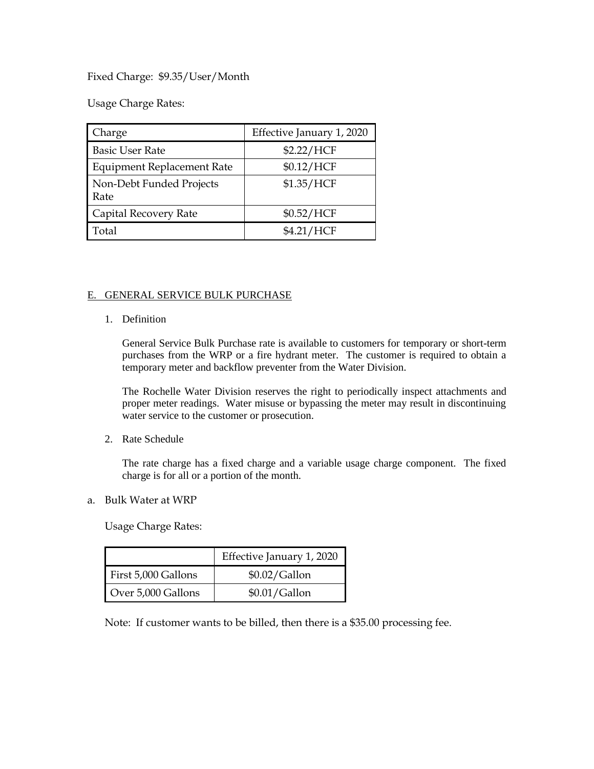Fixed Charge: \$9.35/User/Month

Usage Charge Rates:

| Charge                            | Effective January 1, 2020 |
|-----------------------------------|---------------------------|
| <b>Basic User Rate</b>            | \$2.22/HCF                |
| <b>Equipment Replacement Rate</b> | \$0.12/HCF                |
| Non-Debt Funded Projects<br>Rate  | \$1.35/HCF                |
| Capital Recovery Rate             | \$0.52/HCF                |
| Total                             | \$4.21/HCF                |

## E. GENERAL SERVICE BULK PURCHASE

1. Definition

General Service Bulk Purchase rate is available to customers for temporary or short-term purchases from the WRP or a fire hydrant meter. The customer is required to obtain a temporary meter and backflow preventer from the Water Division.

The Rochelle Water Division reserves the right to periodically inspect attachments and proper meter readings. Water misuse or bypassing the meter may result in discontinuing water service to the customer or prosecution.

2. Rate Schedule

The rate charge has a fixed charge and a variable usage charge component. The fixed charge is for all or a portion of the month.

a. Bulk Water at WRP

Usage Charge Rates:

|                     | Effective January 1, 2020 |
|---------------------|---------------------------|
| First 5,000 Gallons | $$0.02/G$ allon           |
| Over 5,000 Gallons  | $$0.01/G$ allon           |

Note: If customer wants to be billed, then there is a \$35.00 processing fee.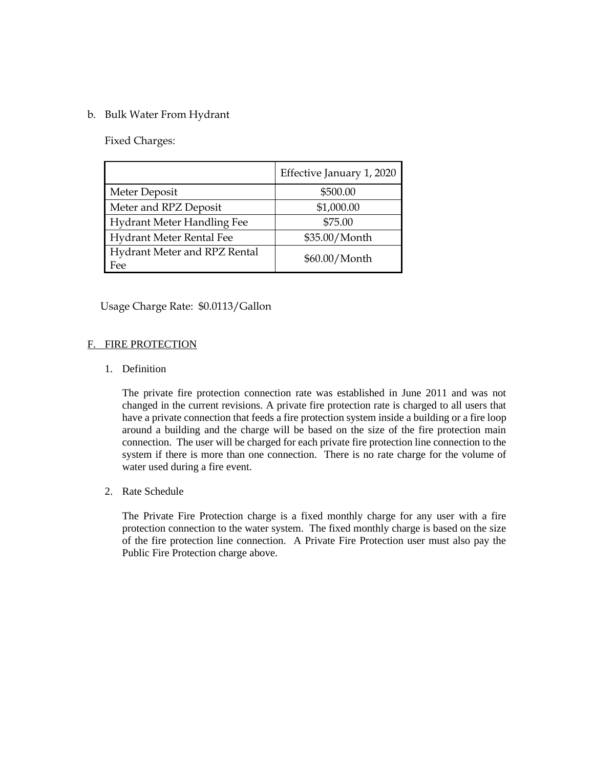## b. Bulk Water From Hydrant

Fixed Charges:

|                                     | Effective January 1, 2020 |
|-------------------------------------|---------------------------|
| Meter Deposit                       | \$500.00                  |
| Meter and RPZ Deposit               | \$1,000.00                |
| Hydrant Meter Handling Fee          | \$75.00                   |
| Hydrant Meter Rental Fee            | \$35.00/Month             |
| Hydrant Meter and RPZ Rental<br>Fee | \$60.00/Month             |

Usage Charge Rate: \$0.0113/Gallon

### F. FIRE PROTECTION

## 1. Definition

The private fire protection connection rate was established in June 2011 and was not changed in the current revisions. A private fire protection rate is charged to all users that have a private connection that feeds a fire protection system inside a building or a fire loop around a building and the charge will be based on the size of the fire protection main connection. The user will be charged for each private fire protection line connection to the system if there is more than one connection. There is no rate charge for the volume of water used during a fire event.

### 2. Rate Schedule

The Private Fire Protection charge is a fixed monthly charge for any user with a fire protection connection to the water system. The fixed monthly charge is based on the size of the fire protection line connection. A Private Fire Protection user must also pay the Public Fire Protection charge above.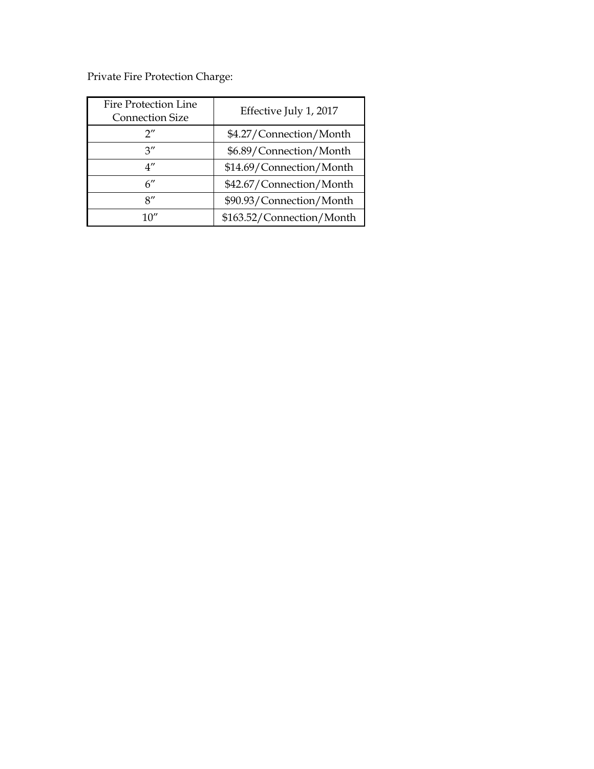Private Fire Protection Charge:

| <b>Fire Protection Line</b><br><b>Connection Size</b> | Effective July 1, 2017    |
|-------------------------------------------------------|---------------------------|
| ייר                                                   | \$4.27/Connection/Month   |
| 3''                                                   | \$6.89/Connection/Month   |
| $4^{\prime\prime}$                                    | \$14.69/Connection/Month  |
| 6''                                                   | \$42.67/Connection/Month  |
| $\mathsf{R}''$                                        | \$90.93/Connection/Month  |
| 10''                                                  | \$163.52/Connection/Month |